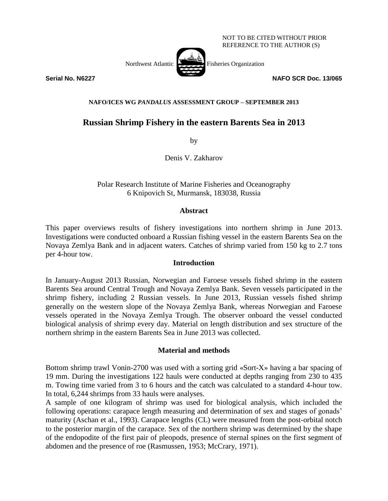

NOT TO BE CITED WITHOUT PRIOR REFERENCE TO THE AUTHOR (S)

**Serial No. N6227 NAFO SCR Doc. 13/065**

# **NAFO/ICES WG** *PANDALUS* **ASSESSMENT GROUP – SEPTEMBER 2013**

# **Russian Shrimp Fishery in the eastern Barents Sea in 2013**

by

Denis V. Zakharov

Polar Research Institute of Marine Fisheries and Oceanography 6 Knipovich St, Murmansk, 183038, Russia

# **Abstract**

This paper overviews results of fishery investigations into northern shrimp in June 2013. Investigations were conducted onboard a Russian fishing vessel in the eastern Barents Sea on the Novaya Zemlya Bank and in adjacent waters. Catches of shrimp varied from 150 kg to 2.7 tons per 4-hour tow.

### **Introduction**

In January-August 2013 Russian, Norwegian and Faroese vessels fished shrimp in the eastern Barents Sea around Central Trough and Novaya Zemlya Bank. Seven vessels participated in the shrimp fishery, including 2 Russian vessels. In June 2013, Russian vessels fished shrimp generally on the western slope of the Novaya Zemlya Bank, whereas Norwegian and Faroese vessels operated in the Novaya Zemlya Trough. The observer onboard the vessel conducted biological analysis of shrimp every day. Material on length distribution and sex structure of the northern shrimp in the eastern Barents Sea in June 2013 was collected.

# **Material and methods**

Bottom shrimp trawl Vonin-2700 was used with a sorting grid «Sort-X» having a bar spacing of 19 mm. During the investigations 122 hauls were conducted at depths ranging from 230 to 435 m. Towing time varied from 3 to 6 hours and the catch was calculated to a standard 4-hour tow. In total, 6,244 shrimps from 33 hauls were analyses.

A sample of one kilogram of shrimp was used for biological analysis, which included the following operations: carapace length measuring and determination of sex and stages of gonads' maturity (Aschan et al., 1993). Carapace lengths (CL) were measured from the post-orbital notch to the posterior margin of the carapace. Sex of the northern shrimp was determined by the shape of the endopodite of the first pair of pleopods, presence of sternal spines on the first segment of abdomen and the presence of roe (Rasmussen, 1953; McCrary, 1971).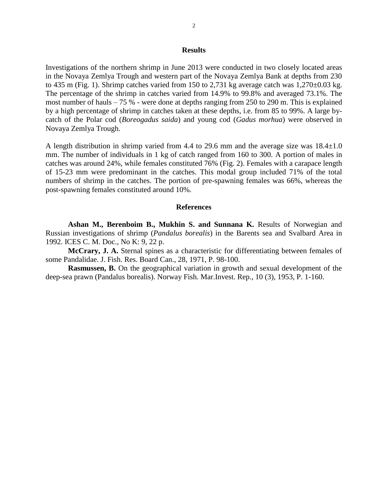#### **Results**

Investigations of the northern shrimp in June 2013 were conducted in two closely located areas in the Novaya Zemlya Trough and western part of the Novaya Zemlya Bank at depths from 230 to 435 m (Fig. 1). Shrimp catches varied from 150 to 2,731 kg average catch was  $1,270\pm0.03$  kg. The percentage of the shrimp in catches varied from 14.9% to 99.8% and averaged 73.1%. The most number of hauls  $-75$  % - were done at depths ranging from 250 to 290 m. This is explained by a high percentage of shrimp in catches taken at these depths, i.e. from 85 to 99%. A large bycatch of the Polar cod (*Boreogadus saida*) and young cod (*Gadus morhua*) were observed in Novaya Zemlya Trough.

A length distribution in shrimp varied from 4.4 to 29.6 mm and the average size was  $18.4 \pm 1.0$ mm. The number of individuals in 1 kg of catch ranged from 160 to 300. A portion of males in catches was around 24%, while females constituted 76% (Fig. 2). Females with a carapace length of 15-23 mm were predominant in the catches. This modal group included 71% of the total numbers of shrimp in the catches. The portion of pre-spawning females was 66%, whereas the post-spawning females constituted around 10%.

#### **References**

**Ashan M., Berenboim B., Mukhin S. and Sunnana K.** Results of Norwegian and Russian investigations of shrimp (*Pandalus borealis*) in the Barents sea and Svalbard Area in 1992. ICES C. M. Doc., No K: 9, 22 p.

**McCrary, J. A.** Sternal spines as a characteristic for differentiating between females of some Pandalidae. J. Fish. Res. Board Can., 28, 1971, P. 98-100.

**Rasmussen, B.** On the geographical variation in growth and sexual development of the deep-sea prawn (Pandalus borealis). Norway Fish. Mar.Invest. Rep., 10 (3), 1953, P. 1-160.